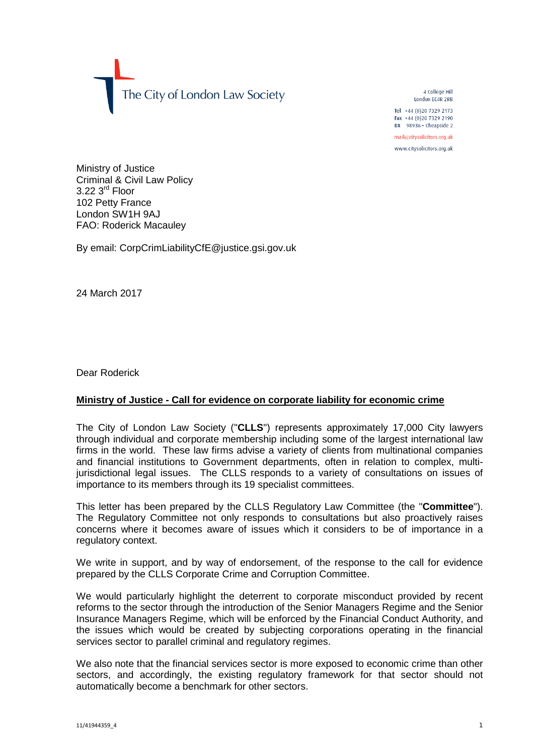The City of London Law Society

4 College Hill London FC4R 2RB

Tel +44 (0)20 7329 2173 Fax +44 (0) 20 7329 2190 DX  $98936$  - Cheapside 2

mail@citysolicitors.org.uk

www.citysolicitors.org.uk

Ministry of Justice Criminal & Civil Law Policy  $3.22$   $3<sup>rd</sup>$  Floor 102 Petty France London SW1H 9AJ FAO: Roderick Macauley

By email: CorpCrimLiabilityCfE@justice.gsi.gov.uk

24 March 2017

Dear Roderick

## **Ministry of Justice - Call for evidence on corporate liability for economic crime**

The City of London Law Society ("**CLLS**") represents approximately 17,000 City lawyers through individual and corporate membership including some of the largest international law firms in the world. These law firms advise a variety of clients from multinational companies and financial institutions to Government departments, often in relation to complex, multijurisdictional legal issues. The CLLS responds to a variety of consultations on issues of importance to its members through its 19 specialist committees.

This letter has been prepared by the CLLS Regulatory Law Committee (the "**Committee**"). The Regulatory Committee not only responds to consultations but also proactively raises concerns where it becomes aware of issues which it considers to be of importance in a regulatory context.

We write in support, and by way of endorsement, of the response to the call for evidence prepared by the CLLS Corporate Crime and Corruption Committee.

We would particularly highlight the deterrent to corporate misconduct provided by recent reforms to the sector through the introduction of the Senior Managers Regime and the Senior Insurance Managers Regime, which will be enforced by the Financial Conduct Authority, and the issues which would be created by subjecting corporations operating in the financial services sector to parallel criminal and regulatory regimes.

We also note that the financial services sector is more exposed to economic crime than other sectors, and accordingly, the existing regulatory framework for that sector should not automatically become a benchmark for other sectors.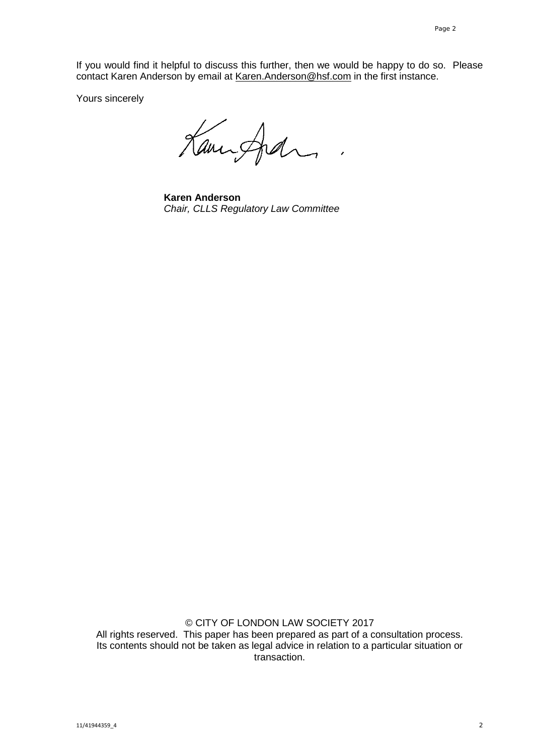If you would find it helpful to discuss this further, then we would be happy to do so. Please contact Karen Anderson by email at [Karen.Anderson@hsf.com](mailto:Karen.Anderson@hsf.com) in the first instance.

Yours sincerely

Kampfel,

**Karen Anderson** *Chair, CLLS Regulatory Law Committee*

© CITY OF LONDON LAW SOCIETY 2017 All rights reserved. This paper has been prepared as part of a consultation process. Its contents should not be taken as legal advice in relation to a particular situation or transaction.